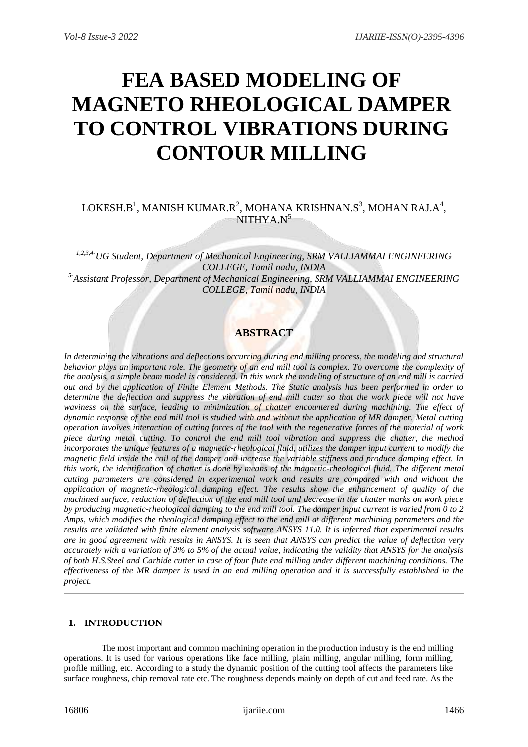# **FEA BASED MODELING OF MAGNETO RHEOLOGICAL DAMPER TO CONTROL VIBRATIONS DURING CONTOUR MILLING**

## $\rm LOKESH.B^{1}$ , MANISH KUMAR.R<sup>2</sup>, MOHANA KRISHNAN.S<sup>3</sup>, MOHAN RAJ.A<sup>4</sup>, NITHYA.N<sup>5</sup>

*1,2,3,4-UG Student, Department of Mechanical Engineering, SRM VALLIAMMAI ENGINEERING COLLEGE, Tamil nadu, INDIA 5-Assistant Professor, Department of Mechanical Engineering, SRM VALLIAMMAI ENGINEERING COLLEGE, Tamil nadu, INDIA*

## **ABSTRACT**

In determining the vibrations and deflections occurring during end milling process, the modeling and structural *behavior plays an important role. The geometry of an end mill tool is complex. To overcome the complexity of the analysis, a simple beam model is considered. In this work the modeling of structure of an end mill is carried out and by the application of Finite Element Methods. The Static analysis has been performed in order to determine the deflection and suppress the vibration of end mill cutter so that the work piece will not have waviness on the surface, leading to minimization of chatter encountered during machining. The effect of dynamic response of the end mill tool is studied with and without the application of MR damper. Metal cutting operation involves interaction of cutting forces of the tool with the regenerative forces of the material of work piece during metal cutting. To control the end mill tool vibration and suppress the chatter, the method incorporates the unique features of a magnetic-rheological fluid, utilizes the damper input current to modify the magnetic field inside the coil of the damper and increase the variable stiffness and produce damping effect. In this work, the identification of chatter is done by means of the magnetic-rheological fluid. The different metal cutting parameters are considered in experimental work and results are compared with and without the application of magnetic-rheological damping effect. The results show the enhancement of quality of the machined surface, reduction of deflection of the end mill tool and decrease in the chatter marks on work piece by producing magnetic-rheological damping to the end mill tool. The damper input current is varied from 0 to 2 Amps, which modifies the rheological damping effect to the end mill at different machining parameters and the results are validated with finite element analysis software ANSYS 11.0. It is inferred that experimental results are in good agreement with results in ANSYS. It is seen that ANSYS can predict the value of deflection very accurately with a variation of 3% to 5% of the actual value, indicating the validity that ANSYS for the analysis of both H.S.Steel and Carbide cutter in case of four flute end milling under different machining conditions. The effectiveness of the MR damper is used in an end milling operation and it is successfully established in the project.*

## **1. INTRODUCTION**

 The most important and common machining operation in the production industry is the end milling operations. It is used for various operations like face milling, plain milling, angular milling, form milling, profile milling, etc. According to a study the dynamic position of the cutting tool affects the parameters like surface roughness, chip removal rate etc. The roughness depends mainly on depth of cut and feed rate. As the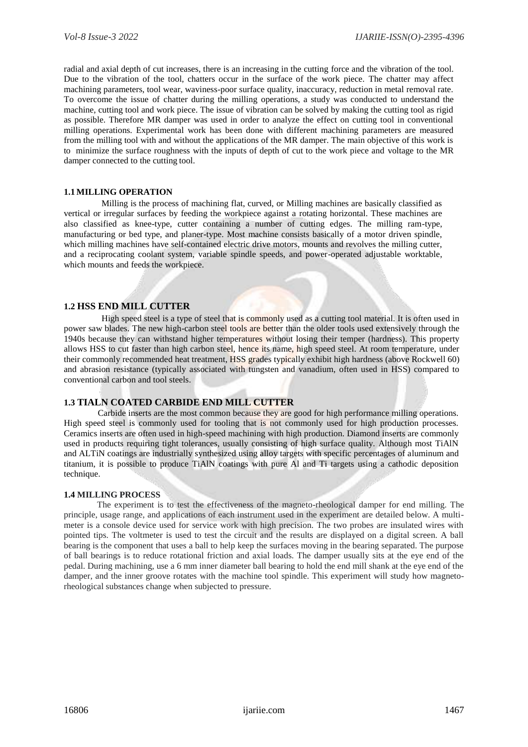radial and axial depth of cut increases, there is an increasing in the cutting force and the vibration of the tool. Due to the vibration of the tool, chatters occur in the surface of the work piece. The chatter may affect machining parameters, tool wear, waviness-poor surface quality, inaccuracy, reduction in metal removal rate. To overcome the issue of chatter during the milling operations, a study was conducted to understand the machine, cutting tool and work piece. The issue of vibration can be solved by making the cutting tool as rigid as possible. Therefore MR damper was used in order to analyze the effect on cutting tool in conventional milling operations. Experimental work has been done with different machining parameters are measured from the milling tool with and without the applications of the MR damper. The main objective of this work is to minimize the surface roughness with the inputs of depth of cut to the work piece and voltage to the MR damper connected to the cutting tool.

#### **1.1 MILLING OPERATION**

 Milling is the process of machining flat, curved, or Milling machines are basically classified as vertical or irregular surfaces by feeding the workpiece against a rotating horizontal. These machines are also classified as knee-type, cutter containing a number of cutting edges. The milling ram-type, manufacturing or bed type, and planer-type. Most machine consists basically of a motor driven spindle, which milling machines have self-contained electric drive motors, mounts and revolves the milling cutter, and a reciprocating coolant system, variable spindle speeds, and power-operated adjustable worktable, which mounts and feeds the workpiece.

## **1.2 HSS END MILL CUTTER**

 High speed steel is a type of steel that is commonly used as a cutting tool material. It is often used in power saw blades. The new high-carbon steel tools are better than the older tools used extensively through the 1940s because they can withstand higher temperatures without losing their temper (hardness). This property allows HSS to cut faster than high carbon steel, hence its name, high speed steel. At room temperature, under their commonly recommended heat treatment, HSS grades typically exhibit high hardness (above Rockwell 60) and abrasion resistance (typically associated with tungsten and vanadium, often used in HSS) compared to conventional carbon and tool steels.

#### **1.3 TIALN COATED CARBIDE END MILL CUTTER**

 Carbide inserts are the most common because they are good for high performance milling operations. High speed steel is commonly used for tooling that is not commonly used for high production processes. Ceramics inserts are often used in high-speed machining with high production. Diamond inserts are commonly used in products requiring tight tolerances, usually consisting of high surface quality. Although most TiAlN and ALTiN coatings are industrially synthesized using alloy targets with specific percentages of aluminum and titanium, it is possible to produce TiAlN coatings with pure Al and Ti targets using a cathodic deposition technique.

## **1.4 MILLING PROCESS**

 The experiment is to test the effectiveness of the magneto-rheological damper for end milling. The principle, usage range, and applications of each instrument used in the experiment are detailed below. A multimeter is a console device used for service work with high precision. The two probes are insulated wires with pointed tips. The voltmeter is used to test the circuit and the results are displayed on a digital screen. A ball bearing is the component that uses a ball to help keep the surfaces moving in the bearing separated. The purpose of ball bearings is to reduce rotational friction and axial loads. The damper usually sits at the eye end of the pedal. During machining, use a 6 mm inner diameter ball bearing to hold the end mill shank at the eye end of the damper, and the inner groove rotates with the machine tool spindle. This experiment will study how magnetorheological substances change when subjected to pressure.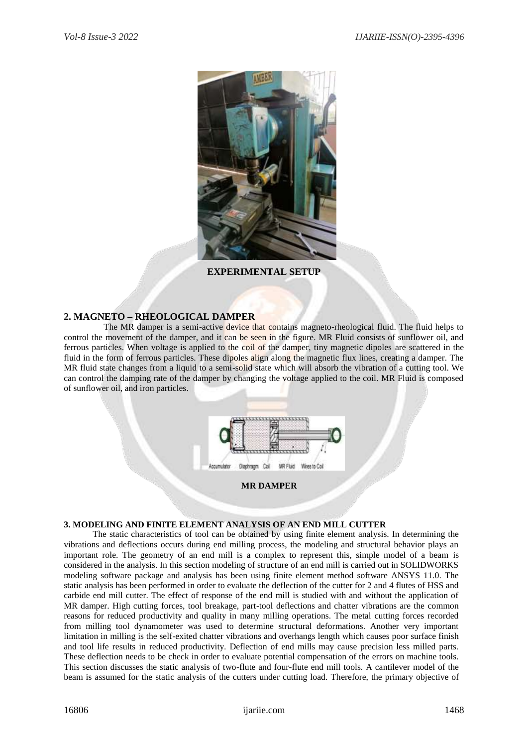

**EXPERIMENTAL SETUP**

## **2. MAGNETO – RHEOLOGICAL DAMPER**

 The MR damper is a semi-active device that contains magneto-rheological fluid. The fluid helps to control the movement of the damper, and it can be seen in the figure. MR Fluid consists of sunflower oil, and ferrous particles. When voltage is applied to the coil of the damper, tiny magnetic dipoles are scattered in the fluid in the form of ferrous particles. These dipoles align along the magnetic flux lines, creating a damper. The MR fluid state changes from a liquid to a semi-solid state which will absorb the vibration of a cutting tool. We can control the damping rate of the damper by changing the voltage applied to the coil. MR Fluid is composed of sunflower oil, and iron particles.



#### **3. MODELING AND FINITE ELEMENT ANALYSIS OF AN END MILL CUTTER**

 The static characteristics of tool can be obtained by using finite element analysis. In determining the vibrations and deflections occurs during end milling process, the modeling and structural behavior plays an important role. The geometry of an end mill is a complex to represent this, simple model of a beam is considered in the analysis. In this section modeling of structure of an end mill is carried out in SOLIDWORKS modeling software package and analysis has been using finite element method software ANSYS 11.0. The static analysis has been performed in order to evaluate the deflection of the cutter for 2 and 4 flutes of HSS and carbide end mill cutter. The effect of response of the end mill is studied with and without the application of MR damper. High cutting forces, tool breakage, part-tool deflections and chatter vibrations are the common reasons for reduced productivity and quality in many milling operations. The metal cutting forces recorded from milling tool dynamometer was used to determine structural deformations. Another very important limitation in milling is the self-exited chatter vibrations and overhangs length which causes poor surface finish and tool life results in reduced productivity. Deflection of end mills may cause precision less milled parts. These deflection needs to be check in order to evaluate potential compensation of the errors on machine tools. This section discusses the static analysis of two-flute and four-flute end mill tools. A cantilever model of the beam is assumed for the static analysis of the cutters under cutting load. Therefore, the primary objective of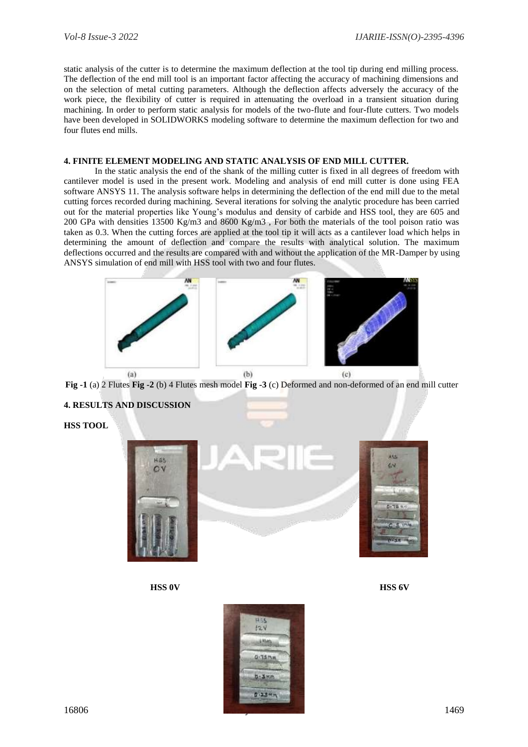static analysis of the cutter is to determine the maximum deflection at the tool tip during end milling process. The deflection of the end mill tool is an important factor affecting the accuracy of machining dimensions and on the selection of metal cutting parameters. Although the deflection affects adversely the accuracy of the work piece, the flexibility of cutter is required in attenuating the overload in a transient situation during machining. In order to perform static analysis for models of the two-flute and four-flute cutters. Two models have been developed in SOLIDWORKS modeling software to determine the maximum deflection for two and four flutes end mills.

#### **4. FINITE ELEMENT MODELING AND STATIC ANALYSIS OF END MILL CUTTER.**

 In the static analysis the end of the shank of the milling cutter is fixed in all degrees of freedom with cantilever model is used in the present work. Modeling and analysis of end mill cutter is done using FEA software ANSYS 11. The analysis software helps in determining the deflection of the end mill due to the metal cutting forces recorded during machining. Several iterations for solving the analytic procedure has been carried out for the material properties like Young's modulus and density of carbide and HSS tool, they are 605 and 200 GPa with densities 13500 Kg/m3 and 8600 Kg/m3 , For both the materials of the tool poison ratio was taken as 0.3. When the cutting forces are applied at the tool tip it will acts as a cantilever load which helps in determining the amount of deflection and compare the results with analytical solution. The maximum deflections occurred and the results are compared with and without the application of the MR-Damper by using ANSYS simulation of end mill with HSS tool with two and four flutes.





## **4. RESULTS AND DISCUSSION**

**HSS TOOL**



**EXS OV HSS 6V** 

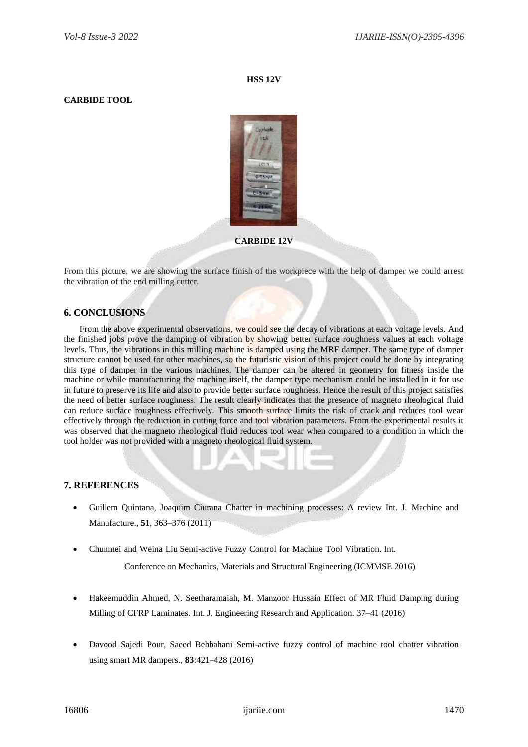#### **HSS 12V**

#### **CARBIDE TOOL**



From this picture, we are showing the surface finish of the workpiece with the help of damper we could arrest the vibration of the end milling cutter.

### **6. CONCLUSIONS**

From the above experimental observations, we could see the decay of vibrations at each voltage levels. And the finished jobs prove the damping of vibration by showing better surface roughness values at each voltage levels. Thus, the vibrations in this milling machine is damped using the MRF damper. The same type of damper structure cannot be used for other machines, so the futuristic vision of this project could be done by integrating this type of damper in the various machines. The damper can be altered in geometry for fitness inside the machine or while manufacturing the machine itself, the damper type mechanism could be installed in it for use in future to preserve its life and also to provide better surface roughness. Hence the result of this project satisfies the need of better surface roughness. The result clearly indicates that the presence of magneto rheological fluid can reduce surface roughness effectively. This smooth surface limits the risk of crack and reduces tool wear effectively through the reduction in cutting force and tool vibration parameters. From the experimental results it was observed that the magneto rheological fluid reduces tool wear when compared to a condition in which the tool holder was not provided with a magneto rheological fluid system.

#### **7. REFERENCES**

- Guillem Quintana, Joaquim Ciurana Chatter in machining processes: A review Int. J. Machine and Manufacture., **51**, 363–376 (2011)
- Chunmei and Weina Liu Semi-active Fuzzy Control for Machine Tool Vibration. Int.

Conference on Mechanics, Materials and Structural Engineering (ICMMSE 2016)

- Hakeemuddin Ahmed, N. Seetharamaiah, M. Manzoor Hussain Effect of MR Fluid Damping during Milling of CFRP Laminates. Int. J. Engineering Research and Application. 37–41 (2016)
- Davood Sajedi Pour, Saeed Behbahani Semi-active fuzzy control of machine tool chatter vibration using smart MR dampers., **83**:421–428 (2016)